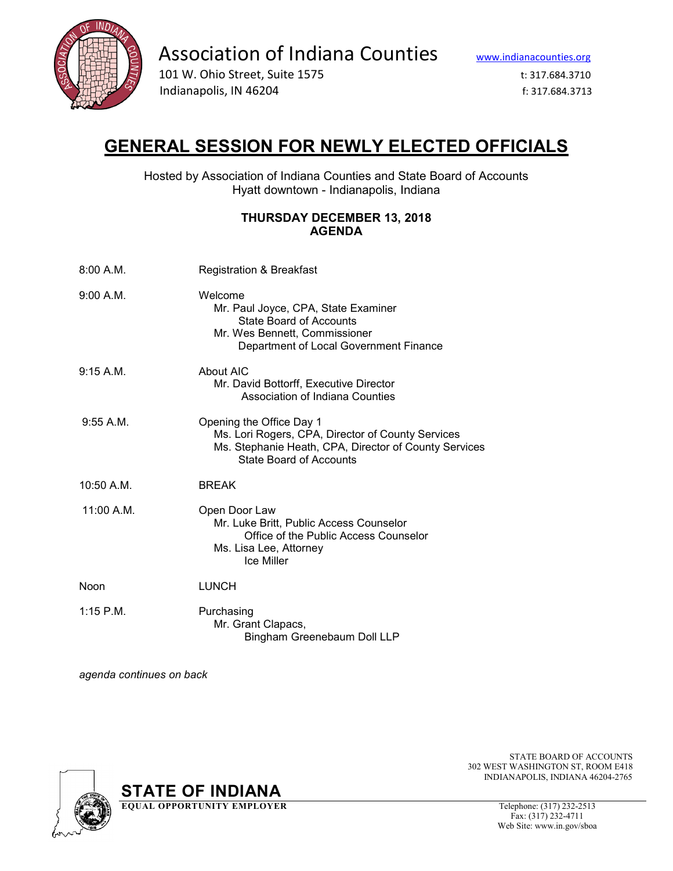

Association of Indiana Counties www.indianacounties.org<br>101 W. Ohio Street, Suite 1575 t: 317.684.3710

Indianapolis, IN 46204 f: 317.684.3713

## **GENERAL SESSION FOR NEWLY ELECTED OFFICIALS**

Hosted by Association of Indiana Counties and State Board of Accounts Hyatt downtown - Indianapolis, Indiana

## **THURSDAY DECEMBER 13, 2018 AGENDA**

| 8:00 A.M.    | <b>Registration &amp; Breakfast</b>                                                                                                                                      |
|--------------|--------------------------------------------------------------------------------------------------------------------------------------------------------------------------|
| 9:00 A.M.    | Welcome<br>Mr. Paul Joyce, CPA, State Examiner<br>State Board of Accounts<br>Mr. Wes Bennett, Commissioner<br>Department of Local Government Finance                     |
| 9:15 A.M.    | About AIC<br>Mr. David Bottorff, Executive Director<br>Association of Indiana Counties                                                                                   |
| 9:55 A.M.    | Opening the Office Day 1<br>Ms. Lori Rogers, CPA, Director of County Services<br>Ms. Stephanie Heath, CPA, Director of County Services<br><b>State Board of Accounts</b> |
| $10:50$ A.M. | <b>BREAK</b>                                                                                                                                                             |
| 11:00 A.M.   | Open Door Law<br>Mr. Luke Britt, Public Access Counselor<br>Office of the Public Access Counselor<br>Ms. Lisa Lee, Attorney<br><b>Ice Miller</b>                         |
| Noon         | <b>LUNCH</b>                                                                                                                                                             |
| $1:15$ P.M.  | Purchasing<br>Mr. Grant Clapacs,<br>Bingham Greenebaum Doll LLP                                                                                                          |

*agenda continues on back*



**STATE OF INDIANA**<br> **EQUAL OPPORTUNITY EMPLOYER** Telephone: (317) 232-2513

 STATE BOARD OF ACCOUNTS 302 WEST WASHINGTON ST, ROOM E418 INDIANAPOLIS, INDIANA 46204-2765